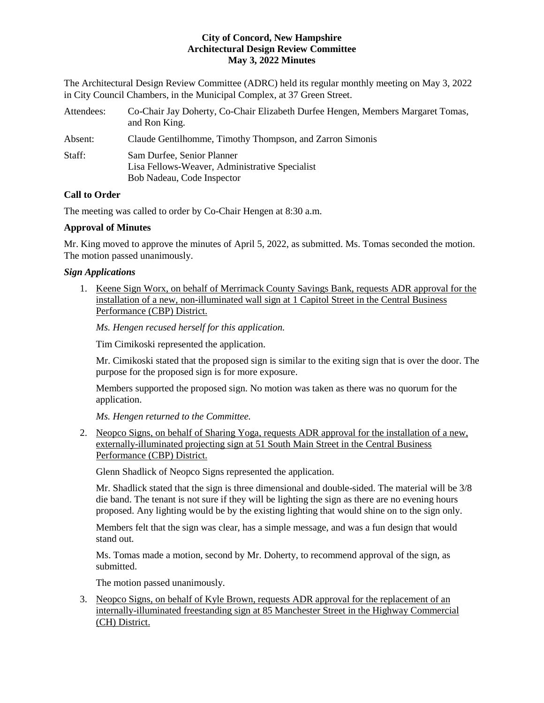The Architectural Design Review Committee (ADRC) held its regular monthly meeting on May 3, 2022 in City Council Chambers, in the Municipal Complex, at 37 Green Street.

| Attendees: | Co-Chair Jay Doherty, Co-Chair Elizabeth Durfee Hengen, Members Margaret Tomas,<br>and Ron King.           |
|------------|------------------------------------------------------------------------------------------------------------|
| Absent:    | Claude Gentilhomme, Timothy Thompson, and Zarron Simonis                                                   |
| Staff:     | Sam Durfee, Senior Planner<br>Lisa Fellows-Weaver, Administrative Specialist<br>Bob Nadeau, Code Inspector |

# **Call to Order**

The meeting was called to order by Co-Chair Hengen at 8:30 a.m.

# **Approval of Minutes**

Mr. King moved to approve the minutes of April 5, 2022, as submitted. Ms. Tomas seconded the motion. The motion passed unanimously.

# *Sign Applications*

1. Keene Sign Worx, on behalf of Merrimack County Savings Bank, requests ADR approval for the installation of a new, non-illuminated wall sign at 1 Capitol Street in the Central Business Performance (CBP) District.

*Ms. Hengen recused herself for this application.* 

Tim Cimikoski represented the application.

Mr. Cimikoski stated that the proposed sign is similar to the exiting sign that is over the door. The purpose for the proposed sign is for more exposure.

Members supported the proposed sign. No motion was taken as there was no quorum for the application.

*Ms. Hengen returned to the Committee.*

2. [Neopco Signs,](https://www.concordnh.gov/DocumentCenter/View/18678/51-S-Main-St---Sharing-Yoga---1-for-ADR) on behalf of Sharing Yoga, requests ADR approval for the installation of a new, externally-illuminated projecting sign at 51 South Main Street in the Central Business Performance (CBP) District.

Glenn Shadlick of Neopco Signs represented the application.

Mr. Shadlick stated that the sign is three dimensional and double-sided. The material will be 3/8 die band. The tenant is not sure if they will be lighting the sign as there are no evening hours proposed. Any lighting would be by the existing lighting that would shine on to the sign only.

Members felt that the sign was clear, has a simple message, and was a fun design that would stand out.

Ms. Tomas made a motion, second by Mr. Doherty, to recommend approval of the sign, as submitted.

The motion passed unanimously.

3. [Neopco Signs,](https://www.concordnh.gov/DocumentCenter/View/18679/85-Manchester-St---KBP---1-for-ADR) on behalf of Kyle Brown, requests ADR approval for the replacement of an internally-illuminated freestanding sign at 85 Manchester Street in the Highway Commercial (CH) District.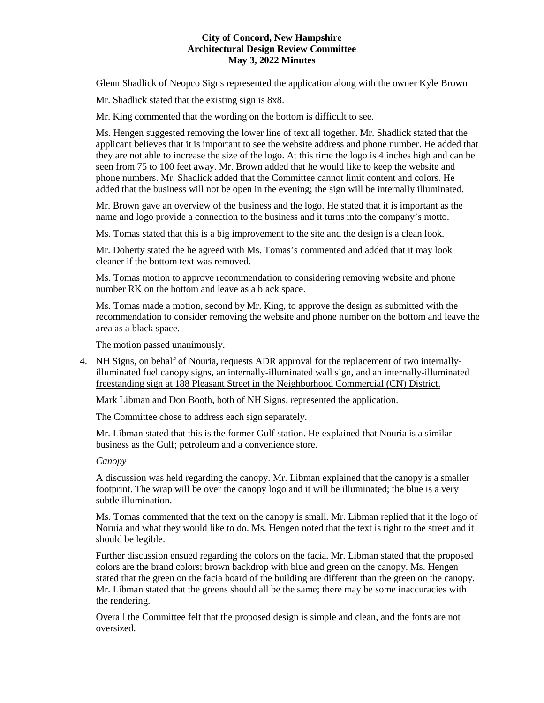Glenn Shadlick of Neopco Signs represented the application along with the owner Kyle Brown

Mr. Shadlick stated that the existing sign is 8x8.

Mr. King commented that the wording on the bottom is difficult to see.

Ms. Hengen suggested removing the lower line of text all together. Mr. Shadlick stated that the applicant believes that it is important to see the website address and phone number. He added that they are not able to increase the size of the logo. At this time the logo is 4 inches high and can be seen from 75 to 100 feet away. Mr. Brown added that he would like to keep the website and phone numbers. Mr. Shadlick added that the Committee cannot limit content and colors. He added that the business will not be open in the evening; the sign will be internally illuminated.

Mr. Brown gave an overview of the business and the logo. He stated that it is important as the name and logo provide a connection to the business and it turns into the company's motto.

Ms. Tomas stated that this is a big improvement to the site and the design is a clean look.

Mr. Doherty stated the he agreed with Ms. Tomas's commented and added that it may look cleaner if the bottom text was removed.

Ms. Tomas motion to approve recommendation to considering removing website and phone number RK on the bottom and leave as a black space.

Ms. Tomas made a motion, second by Mr. King, to approve the design as submitted with the recommendation to consider removing the website and phone number on the bottom and leave the area as a black space.

The motion passed unanimously.

4. [NH Signs,](https://www.concordnh.gov/DocumentCenter/View/18682/188-Pleasant-St---Nouria---4-for-ADR) on behalf of Nouria, requests ADR approval for the replacement of two internallyilluminated fuel canopy signs, an internally-illuminated wall sign, and an internally-illuminated freestanding sign at 188 Pleasant Street in the Neighborhood Commercial (CN) District.

Mark Libman and Don Booth, both of NH Signs, represented the application.

The Committee chose to address each sign separately.

Mr. Libman stated that this is the former Gulf station. He explained that Nouria is a similar business as the Gulf; petroleum and a convenience store.

# *Canopy*

A discussion was held regarding the canopy. Mr. Libman explained that the canopy is a smaller footprint. The wrap will be over the canopy logo and it will be illuminated; the blue is a very subtle illumination.

Ms. Tomas commented that the text on the canopy is small. Mr. Libman replied that it the logo of Noruia and what they would like to do. Ms. Hengen noted that the text is tight to the street and it should be legible.

Further discussion ensued regarding the colors on the facia. Mr. Libman stated that the proposed colors are the brand colors; brown backdrop with blue and green on the canopy. Ms. Hengen stated that the green on the facia board of the building are different than the green on the canopy. Mr. Libman stated that the greens should all be the same; there may be some inaccuracies with the rendering.

Overall the Committee felt that the proposed design is simple and clean, and the fonts are not oversized.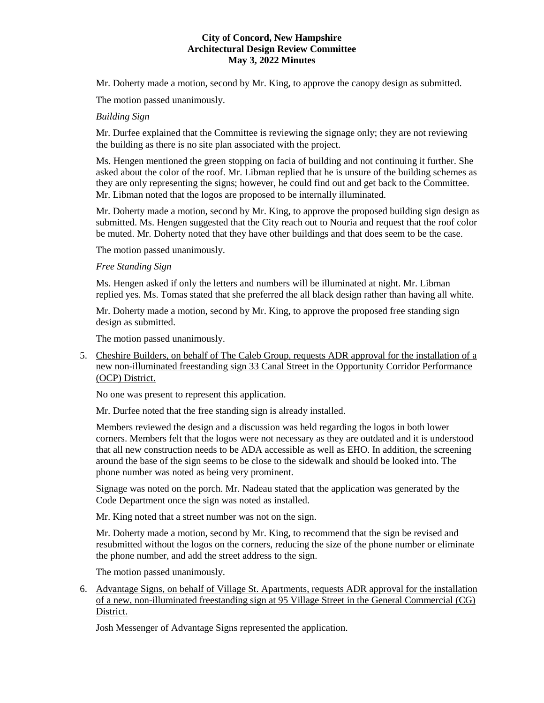Mr. Doherty made a motion, second by Mr. King, to approve the canopy design as submitted.

The motion passed unanimously.

# *Building Sign*

Mr. Durfee explained that the Committee is reviewing the signage only; they are not reviewing the building as there is no site plan associated with the project.

Ms. Hengen mentioned the green stopping on facia of building and not continuing it further. She asked about the color of the roof. Mr. Libman replied that he is unsure of the building schemes as they are only representing the signs; however, he could find out and get back to the Committee. Mr. Libman noted that the logos are proposed to be internally illuminated.

Mr. Doherty made a motion, second by Mr. King, to approve the proposed building sign design as submitted. Ms. Hengen suggested that the City reach out to Nouria and request that the roof color be muted. Mr. Doherty noted that they have other buildings and that does seem to be the case.

The motion passed unanimously.

## *Free Standing Sign*

Ms. Hengen asked if only the letters and numbers will be illuminated at night. Mr. Libman replied yes. Ms. Tomas stated that she preferred the all black design rather than having all white.

Mr. Doherty made a motion, second by Mr. King, to approve the proposed free standing sign design as submitted.

The motion passed unanimously.

5. [Cheshire Builders,](https://www.concordnh.gov/DocumentCenter/View/18677/33-Canal-St---CALEB---1-for-ADR) on behalf of The Caleb Group, requests ADR approval for the installation of a new non-illuminated freestanding sign 33 Canal Street in the Opportunity Corridor Performance (OCP) District.

No one was present to represent this application.

Mr. Durfee noted that the free standing sign is already installed.

Members reviewed the design and a discussion was held regarding the logos in both lower corners. Members felt that the logos were not necessary as they are outdated and it is understood that all new construction needs to be ADA accessible as well as EHO. In addition, the screening around the base of the sign seems to be close to the sidewalk and should be looked into. The phone number was noted as being very prominent.

Signage was noted on the porch. Mr. Nadeau stated that the application was generated by the Code Department once the sign was noted as installed.

Mr. King noted that a street number was not on the sign.

Mr. Doherty made a motion, second by Mr. King, to recommend that the sign be revised and resubmitted without the logos on the corners, reducing the size of the phone number or eliminate the phone number, and add the street address to the sign.

The motion passed unanimously.

6. [Advantage Signs,](https://www.concordnh.gov/DocumentCenter/View/18681/95-Village-St-Pena---Catch---1-for-ADR) on behalf of Village St. Apartments, requests ADR approval for the installation of a new, non-illuminated freestanding sign at 95 Village Street in the General Commercial (CG) District.

Josh Messenger of Advantage Signs represented the application.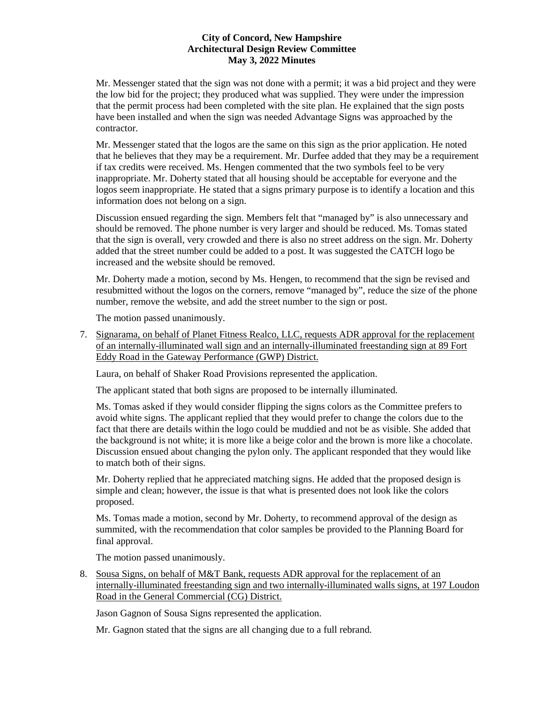Mr. Messenger stated that the sign was not done with a permit; it was a bid project and they were the low bid for the project; they produced what was supplied. They were under the impression that the permit process had been completed with the site plan. He explained that the sign posts have been installed and when the sign was needed Advantage Signs was approached by the contractor.

Mr. Messenger stated that the logos are the same on this sign as the prior application. He noted that he believes that they may be a requirement. Mr. Durfee added that they may be a requirement if tax credits were received. Ms. Hengen commented that the two symbols feel to be very inappropriate. Mr. Doherty stated that all housing should be acceptable for everyone and the logos seem inappropriate. He stated that a signs primary purpose is to identify a location and this information does not belong on a sign.

Discussion ensued regarding the sign. Members felt that "managed by" is also unnecessary and should be removed. The phone number is very larger and should be reduced. Ms. Tomas stated that the sign is overall, very crowded and there is also no street address on the sign. Mr. Doherty added that the street number could be added to a post. It was suggested the CATCH logo be increased and the website should be removed.

Mr. Doherty made a motion, second by Ms. Hengen, to recommend that the sign be revised and resubmitted without the logos on the corners, remove "managed by", reduce the size of the phone number, remove the website, and add the street number to the sign or post.

The motion passed unanimously.

7. [Signarama,](https://www.concordnh.gov/DocumentCenter/View/18680/89-Fort-Eddy-Rd---Shaker-Road-Provisions---2-for-ADR) on behalf of Planet Fitness Realco, LLC, requests ADR approval for the replacement of an internally-illuminated wall sign and an internally-illuminated freestanding sign at 89 Fort Eddy Road in the Gateway Performance (GWP) District.

Laura, on behalf of Shaker Road Provisions represented the application.

The applicant stated that both signs are proposed to be internally illuminated.

Ms. Tomas asked if they would consider flipping the signs colors as the Committee prefers to avoid white signs. The applicant replied that they would prefer to change the colors due to the fact that there are details within the logo could be muddied and not be as visible. She added that the background is not white; it is more like a beige color and the brown is more like a chocolate. Discussion ensued about changing the pylon only. The applicant responded that they would like to match both of their signs.

Mr. Doherty replied that he appreciated matching signs. He added that the proposed design is simple and clean; however, the issue is that what is presented does not look like the colors proposed.

Ms. Tomas made a motion, second by Mr. Doherty, to recommend approval of the design as summited, with the recommendation that color samples be provided to the Planning Board for final approval.

The motion passed unanimously.

8. [Sousa Signs,](https://www.concordnh.gov/DocumentCenter/View/18683/197-Loudon-Rd---MT-Bank---3-for-ADR) on behalf of M&T Bank, requests ADR approval for the replacement of an internally-illuminated freestanding sign and two internally-illuminated walls signs, at 197 Loudon Road in the General Commercial (CG) District.

Jason Gagnon of Sousa Signs represented the application.

Mr. Gagnon stated that the signs are all changing due to a full rebrand.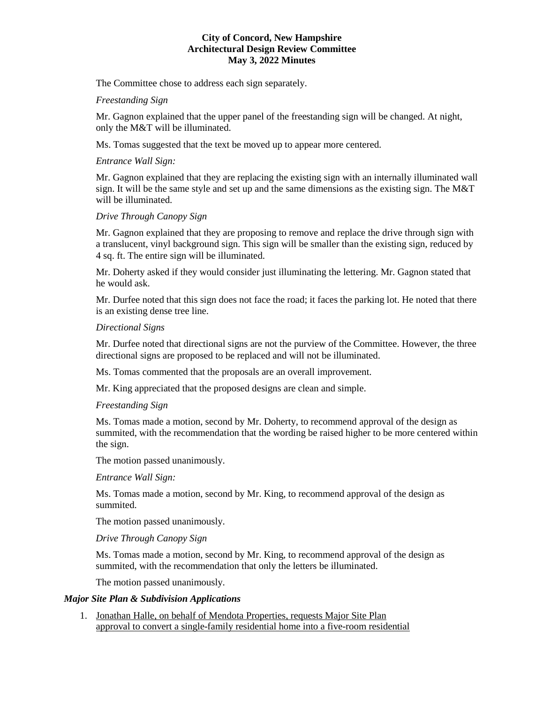The Committee chose to address each sign separately.

## *Freestanding Sign*

Mr. Gagnon explained that the upper panel of the freestanding sign will be changed. At night, only the M&T will be illuminated.

Ms. Tomas suggested that the text be moved up to appear more centered.

### *Entrance Wall Sign:*

Mr. Gagnon explained that they are replacing the existing sign with an internally illuminated wall sign. It will be the same style and set up and the same dimensions as the existing sign. The M&T will be illuminated.

# *Drive Through Canopy Sign*

Mr. Gagnon explained that they are proposing to remove and replace the drive through sign with a translucent, vinyl background sign. This sign will be smaller than the existing sign, reduced by 4 sq. ft. The entire sign will be illuminated.

Mr. Doherty asked if they would consider just illuminating the lettering. Mr. Gagnon stated that he would ask.

Mr. Durfee noted that this sign does not face the road; it faces the parking lot. He noted that there is an existing dense tree line.

### *Directional Signs*

Mr. Durfee noted that directional signs are not the purview of the Committee. However, the three directional signs are proposed to be replaced and will not be illuminated.

Ms. Tomas commented that the proposals are an overall improvement.

Mr. King appreciated that the proposed designs are clean and simple.

#### *Freestanding Sign*

Ms. Tomas made a motion, second by Mr. Doherty, to recommend approval of the design as summited, with the recommendation that the wording be raised higher to be more centered within the sign.

The motion passed unanimously.

*Entrance Wall Sign:* 

Ms. Tomas made a motion, second by Mr. King, to recommend approval of the design as summited.

The motion passed unanimously.

## *Drive Through Canopy Sign*

Ms. Tomas made a motion, second by Mr. King, to recommend approval of the design as summited, with the recommendation that only the letters be illuminated.

The motion passed unanimously.

#### *Major Site Plan & Subdivision Applications*

1. Jonathan Halle, on behalf of Mendota Properties, requests Major Site Plan approval to convert a single-family residential home into a five-room residential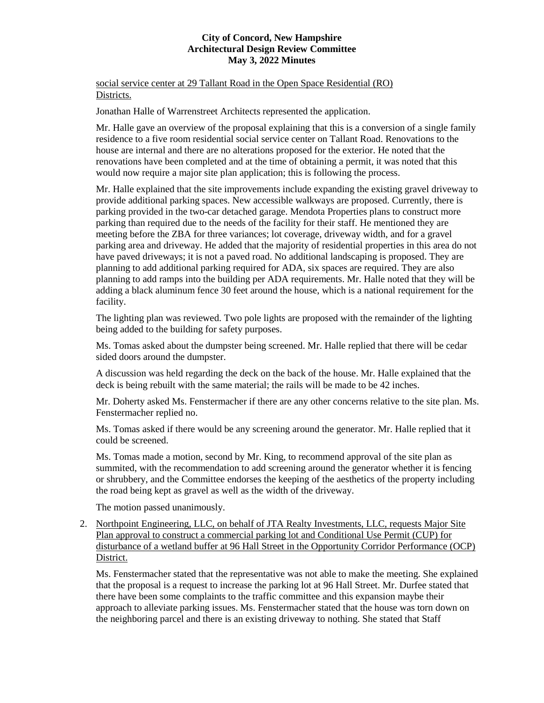social service center at 29 Tallant Road in the Open Space Residential (RO) Districts.

Jonathan Halle of Warrenstreet Architects represented the application.

Mr. Halle gave an overview of the proposal explaining that this is a conversion of a single family residence to a five room residential social service center on Tallant Road. Renovations to the house are internal and there are no alterations proposed for the exterior. He noted that the renovations have been completed and at the time of obtaining a permit, it was noted that this would now require a major site plan application; this is following the process.

Mr. Halle explained that the site improvements include expanding the existing gravel driveway to provide additional parking spaces. New accessible walkways are proposed. Currently, there is parking provided in the two-car detached garage. Mendota Properties plans to construct more parking than required due to the needs of the facility for their staff. He mentioned they are meeting before the ZBA for three variances; lot coverage, driveway width, and for a gravel parking area and driveway. He added that the majority of residential properties in this area do not have paved driveways; it is not a paved road. No additional landscaping is proposed. They are planning to add additional parking required for ADA, six spaces are required. They are also planning to add ramps into the building per ADA requirements. Mr. Halle noted that they will be adding a black aluminum fence 30 feet around the house, which is a national requirement for the facility.

The lighting plan was reviewed. Two pole lights are proposed with the remainder of the lighting being added to the building for safety purposes.

Ms. Tomas asked about the dumpster being screened. Mr. Halle replied that there will be cedar sided doors around the dumpster.

A discussion was held regarding the deck on the back of the house. Mr. Halle explained that the deck is being rebuilt with the same material; the rails will be made to be 42 inches.

Mr. Doherty asked Ms. Fenstermacher if there are any other concerns relative to the site plan. Ms. Fenstermacher replied no.

Ms. Tomas asked if there would be any screening around the generator. Mr. Halle replied that it could be screened.

Ms. Tomas made a motion, second by Mr. King, to recommend approval of the site plan as summited, with the recommendation to add screening around the generator whether it is fencing or shrubbery, and the Committee endorses the keeping of the aesthetics of the property including the road being kept as gravel as well as the width of the driveway.

The motion passed unanimously.

2. Northpoint Engineering, LLC, on behalf of JTA Realty Investments, LLC, requests Major Site Plan approval to construct a commercial parking lot and Conditional Use Permit (CUP) for disturbance of a wetland buffer at 96 Hall Street in the Opportunity Corridor Performance (OCP) District.

Ms. Fenstermacher stated that the representative was not able to make the meeting. She explained that the proposal is a request to increase the parking lot at 96 Hall Street. Mr. Durfee stated that there have been some complaints to the traffic committee and this expansion maybe their approach to alleviate parking issues. Ms. Fenstermacher stated that the house was torn down on the neighboring parcel and there is an existing driveway to nothing. She stated that Staff